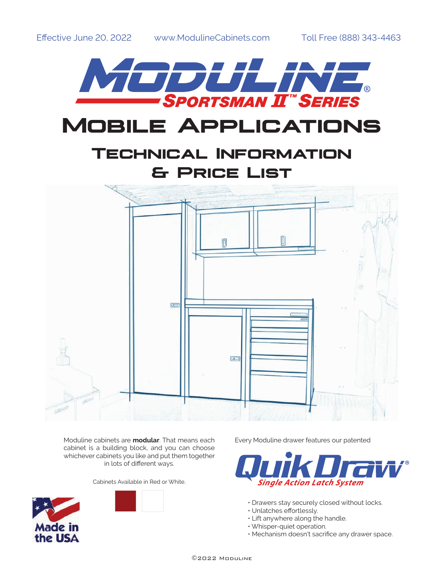

Moduline cabinets are **modular**. That means each cabinet is a building block, and you can choose whichever cabinets you like and put them together in lots of different ways.

Cabinets Available in Red or White.





Every Moduline drawer features our patented



- Drawers stay securely closed without locks.
- Unlatches effortlessly.
- Lift anywhere along the handle.
- Whisper-quiet operation.
- Mechanism doesn't sacrifice any drawer space.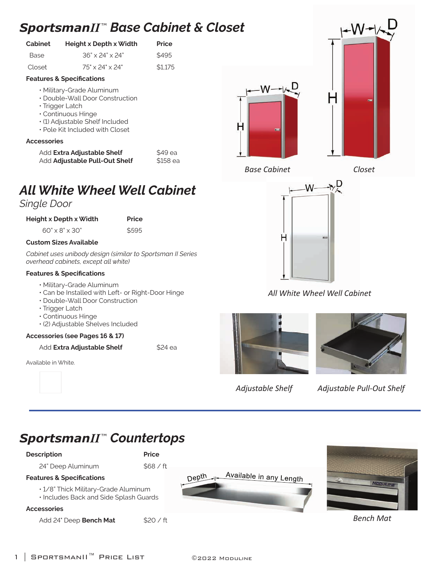# *SportsmanII* ™ *Base Cabinet & Closet*

| Cabinet | Height x Depth x Width      |         |  |  |
|---------|-----------------------------|---------|--|--|
| Base    | $36" \times 24" \times 24"$ | \$495   |  |  |
| Closet  | $75" \times 24" \times 24"$ | \$1.175 |  |  |

## **Features & Specifications**

- Military-Grade Aluminum
- Double-Wall Door Construction
- Trigger Latch
- Continuous Hinge
- (1) Adjustable Shelf Included
- Pole Kit Included with Closet

## **Accessories**

| Add Extra Adjustable Shelf    |  |
|-------------------------------|--|
| Add Adjustable Pull-Out Shelf |  |

# *All White Wheel Well Cabinet*

## *Single Door*

| Height x Depth x Width | <b>Price</b> |
|------------------------|--------------|
|------------------------|--------------|

| $60'' \times 8'' \times 30''$ | \$595 |
|-------------------------------|-------|
| <b>Custom Sizes Available</b> |       |

*Cabinet uses unibody design (similar to Sportsman II Series overhead cabinets, except all white)*

## **Features & Specifications**

- Military-Grade Aluminum
- Can be Installed with Left- or Right-Door Hinge
- Double-Wall Door Construction
- Trigger Latch
- Continuous Hinge
- (2) Adjustable Shelves Included

## **Accessories (see Pages 16 & 17)**

Add **Extra Adjustable Shelf** \$24 ea

Available in White.





\$49 ea \$158 ea





*Base Cabinet Closet*



*All White Wheel Well Cabinet*





*Adjustable Shelf Adjustable Pull-Out Shelf*

# *SportsmanII* ™ *Countertops*

## **Description Price**

24" Deep Aluminum \$68 / ft

## **Features & Specifications**

- 1/8" Thick Military-Grade Aluminum
- Includes Back and Side Splash Guards

## **Accessories**

Add 24" Deep **Bench Mat** \$20 / ft





*Bench Mat*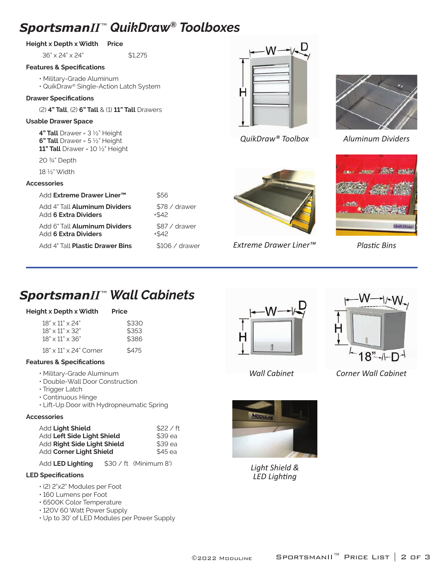## *SportsmanII* ™ *QuikDraw® Toolboxes*

## **Height x Depth x Width Price**

36" x 24" x 24" \$1,275

#### **Features & Specifications**

- Military-Grade Aluminum
- QuikDraw® Single-Action Latch System

#### **Drawer Specifications**

(2) **4" Tall**, (2) **6" Tall** & (1) **11" Tall** Drawers

#### **Usable Drawer Space**

**4" Tall** Drawer = 3 ½" Height **6" Tall** Drawer = 5 ½" Height **11" Tall** Drawer = 10 ½" Height

20 ¾" Depth

18 ½" Width

#### **Accessories**

| Add Extreme Drawer Liner™            | \$56            |
|--------------------------------------|-----------------|
| Add 4" Tall <b>Aluminum Dividers</b> | \$78 / drawer   |
| Add 6 Extra Dividers                 | $+542$          |
| Add 6" Tall <b>Aluminum Dividers</b> | \$87 / drawer   |
| Add 6 Extra Dividers                 | $+542$          |
| Add 4" Tall Plastic Drawer Bins      | $$106 /$ drawer |





*QuikDraw® Toolbox Aluminum Dividers*





## **Extreme Drawer Liner™** Plastic Bins

# *SportsmanII* ™ *Wall Cabinets*

#### **Height x Depth x Width Price**

| $18" \times 11" \times 24"$        | \$330 |
|------------------------------------|-------|
| $18" \times 11" \times 32"$        | \$353 |
| $18" \times 11" \times 36"$        | \$386 |
| $18" \times 11" \times 24"$ Corner | \$475 |

#### **Features & Specifications**

- Military-Grade Aluminum
- Double-Wall Door Construction
- Trigger Latch
- Continuous Hinge
- Lift-Up Door with Hydropneumatic Spring

#### **Accessories**

| Add Light Shield            | \$22 / ft |
|-----------------------------|-----------|
| Add Left Side Light Shield  | \$39 ea   |
| Add Right Side Light Shield | \$39 ea   |
| Add Corner Light Shield     | \$45 ea   |

Add **LED Lighting** \$30 / ft (Minimum 8')

## **LED Specifications**

- (2) 2"x2" Modules per Foot
- 160 Lumens per Foot
- 6500K Color Temperature
- 120V 60 Watt Power Supply
- Up to 30' of LED Modules per Power Supply





*Wall Cabinet*

*Corner Wall Cabinet*



*Light Shield & LED Lighti ng*